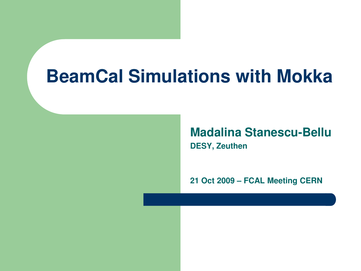### **BeamCal Simulations with Mokka**

**Madalina Stanescu-Bellu DESY, Zeuthen**

**21 Oct 2009 – FCAL Meeting CERN**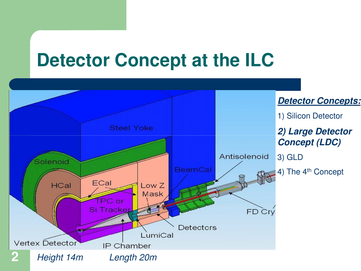## **Detector Concept at the ILC**

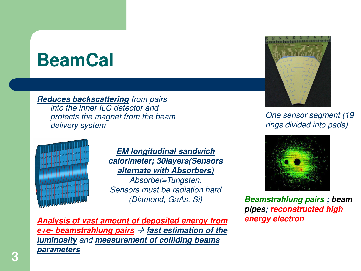## **BeamCal**

*Reduces backscattering from pairs into the inner ILC detector and protects the magnet from the beam delivery system*



*EM longitudinal sandwich calorimeter; 30layers(Sensors alternate with Absorbers) Absorber=Tungsten. Sensors must be radiation hard (Diamond, GaAs, Si)*

*Analysis of vast amount of deposited energy from*   $e$ +e- beamstrahlung pairs  $\rightarrow$  fast estimation of the *luminosity and measurement of colliding beams parameters*



*One sensor segment (19 rings divided into pads)*



*Beamstrahlung pairs ; beam pipes; reconstructed high energy electron*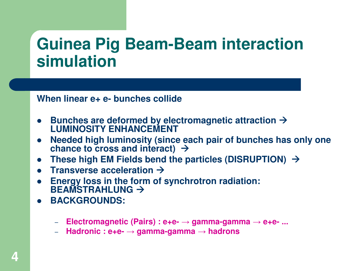#### **Guinea Pig Beam-Beam interaction simulation**

**When linear e+ e- bunches collide**

- Bunches are deformed by electromagnetic attraction  $\rightarrow$ **LUMINOSITY ENHANCEMENT**
- **Needed high luminosity (since each pair of bunches has only one**   $\bullet$ chance to cross and interact)  $\rightarrow$
- <sup>l</sup> **These high EM Fields bend the particles (DISRUPTION)** à
- <sup>l</sup> **Transverse acceleration** à
- **e** Energy loss in the form of synchrotron radiation: **BEAMSTRAHLUNG** à
- l **BACKGROUNDS:**
	- **Electromagnetic (Pairs) : e+e-** → **gamma-gamma** → **e+e- ...**
	- **Hadronic : e+e-** → **gamma-gamma** → **hadrons**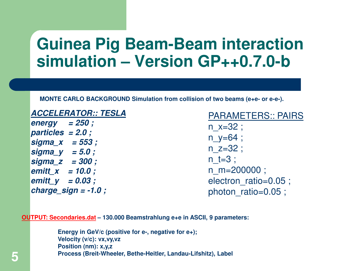#### **Guinea Pig Beam-Beam interaction simulation – Version GP++0.7.0-b**

**MONTE CARLO BACKGROUND Simulation from collision of two beams (e+e- or e-e-).**

#### *ACCELERATOR:: TESLA*

*energy = 250 ; particles = 2.0 ; sigma\_x = 553 ; sigma\_y = 5.0 ; sigma\_z = 300 ; emitt\_x = 10.0 ; emitt\_y = 0.03 ; charge\_sign = -1.0 ;*

PARAMETERS:: PAIRS  $n \times = 32$  ; n  $y=64$  ;  $n \, z = 32$ ;  $n$  t=3 ; n\_m=200000 ; electron ratio=0.05 ; photon ratio=0.05 ;

**OUTPUT: Secondaries.dat – 130.000 Beamstrahlung e+e in ASCII, 9 parameters:**

**Energy in GeV/c (positive for e-, negative for e+); Velocity (v/c): vx,vy,vz Position (nm): x,y,z Process (Breit-Wheeler, Bethe-Heitler, Landau-Lifshitz), Label**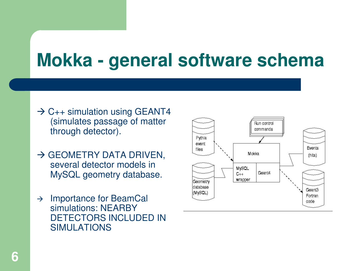# **Mokka - general software schema**

- $\rightarrow$  C<sub>++</sub> simulation using GEANT4 (simulates passage of matter through detector).
- $\rightarrow$  GEOMETRY DATA DRIVEN, several detector models in MySQL geometry database.
- $\rightarrow$  Importance for BeamCal simulations: NEARBY DETECTORS INCLUDED IN SIMULATIONS

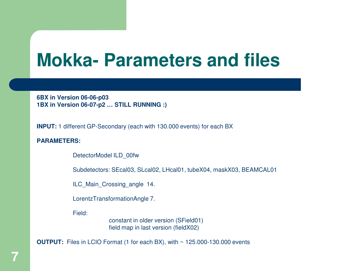### **Mokka- Parameters and files**

**6BX in Version 06-06-p03 1BX in Version 06-07-p2 … STILL RUNNING :)**

**INPUT:** 1 different GP-Secondary (each with 130.000 events) for each BX

**PARAMETERS:**

DetectorModel ILD\_00fw

Subdetectors: SEcal03, SLcal02, LHcal01, tubeX04, maskX03, BEAMCAL01

ILC Main Crossing angle 14.

LorentzTransformationAngle 7.

Field:

constant in older version (SField01) field map in last version (fieldX02)

**OUTPUT:** Files in LCIO Format (1 for each BX), with ~ 125.000-130.000 events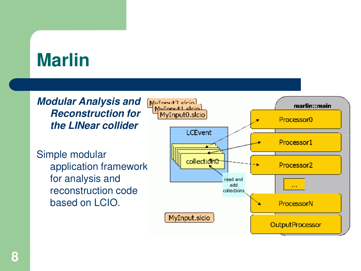# **Marlin**

*Modular Analysis and Reconstruction for the LINear collider*

Simple modular application framework for analysis and reconstruction code based on LCIO.

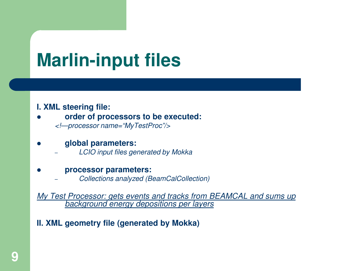# **Marlin-input files**

#### **I. XML steering file:**

l **order of processors to be executed:** 

*<!—processor name="MyTestProc"/>*

#### l **global parameters:**

– *LCIO input files generated by Mokka*

#### l **processor parameters:**

– *Collections analyzed (BeamCalCollection)*

*My Test Processor: gets events and tracks from BEAMCAL and sums up background energy depositions per layers*

#### **II. XML geometry file (generated by Mokka)**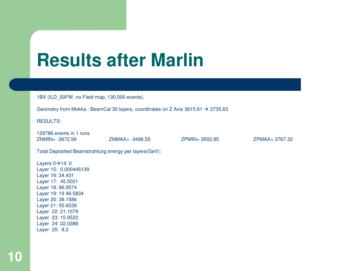## **Results after Marlin**

1BX (ILD\_00FW, no Field map, 130.000 events).

Geometry from Mokka : BeamCal 30 layers, coordinates on Z Axis 3615.61  $\rightarrow$  3735.63

RESULTS:

129786 events in 1 runs ZNMIN= -3672.99 ZNMAX= -3496.55 ZPMIN= 3502.85 ZPMAX= 3767.32

Total Deposited Beamstrahlung energy per layers(GeV):

Layers  $0 \rightarrow 14:0$ Layer 15: 0.000445139 Layer 16: 34.431 Layer 17: 45.5031 Layer 18: 96.9574 Layer 19: 19 46.5834 Layer 20: 38.1586 Layer 21: 55.6539 Layer 22: 21.1079 Layer 23: 15.9522 Layer 24: 22.0388 Layer 25: 8.2

**10**